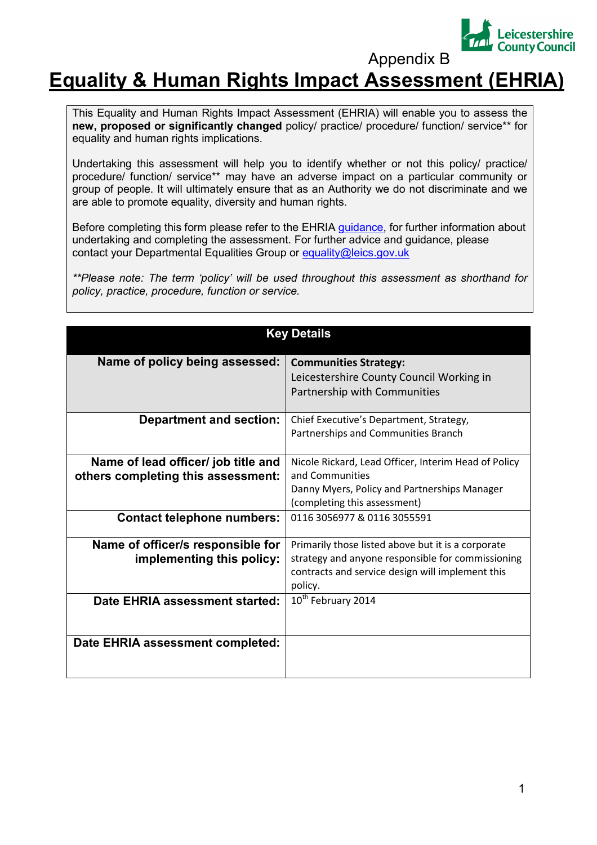

Appendix B

## **Equality & Human Rights Impact Assessment (EHRIA)**

This Equality and Human Rights Impact Assessment (EHRIA) will enable you to assess the **new, proposed or significantly changed** policy/ practice/ procedure/ function/ service\*\* for equality and human rights implications.

Undertaking this assessment will help you to identify whether or not this policy/ practice/ procedure/ function/ service\*\* may have an adverse impact on a particular community or group of people. It will ultimately ensure that as an Authority we do not discriminate and we are able to promote equality, diversity and human rights.

Before completing this form please refer to the EHRIA guidance, for further information about undertaking and completing the assessment. For further advice and guidance, please contact your Departmental Equalities Group or equality@leics.gov.uk

*\*\*Please note: The term 'policy' will be used throughout this assessment as shorthand for policy, practice, procedure, function or service.* 

| <b>Key Details</b>                                                        |                                                                                                                                                                        |  |  |  |  |
|---------------------------------------------------------------------------|------------------------------------------------------------------------------------------------------------------------------------------------------------------------|--|--|--|--|
| Name of policy being assessed:                                            | <b>Communities Strategy:</b><br>Leicestershire County Council Working in<br>Partnership with Communities                                                               |  |  |  |  |
| <b>Department and section:</b>                                            | Chief Executive's Department, Strategy,<br>Partnerships and Communities Branch                                                                                         |  |  |  |  |
| Name of lead officer/ job title and<br>others completing this assessment: | Nicole Rickard, Lead Officer, Interim Head of Policy<br>and Communities<br>Danny Myers, Policy and Partnerships Manager<br>(completing this assessment)                |  |  |  |  |
| <b>Contact telephone numbers:</b>                                         | 0116 3056977 & 0116 3055591                                                                                                                                            |  |  |  |  |
| Name of officer/s responsible for<br>implementing this policy:            | Primarily those listed above but it is a corporate<br>strategy and anyone responsible for commissioning<br>contracts and service design will implement this<br>policy. |  |  |  |  |
| Date EHRIA assessment started:                                            | 10 <sup>th</sup> February 2014                                                                                                                                         |  |  |  |  |
| Date EHRIA assessment completed:                                          |                                                                                                                                                                        |  |  |  |  |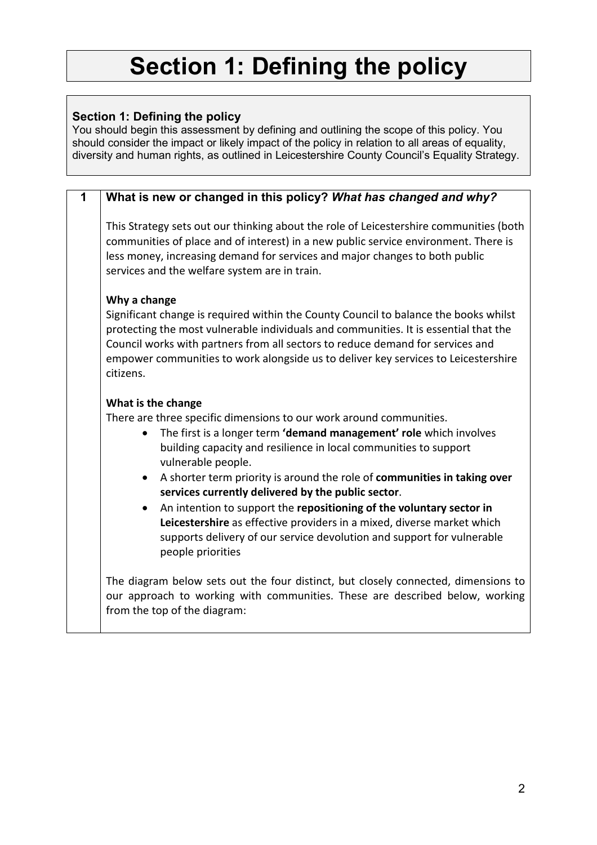## **Section 1: Defining the policy**

## **Section 1: Defining the policy**

You should begin this assessment by defining and outlining the scope of this policy. You should consider the impact or likely impact of the policy in relation to all areas of equality, diversity and human rights, as outlined in Leicestershire County Council's Equality Strategy.

| 1 | What is new or changed in this policy? What has changed and why?                                                                                                                                                                                                                                                                                                  |
|---|-------------------------------------------------------------------------------------------------------------------------------------------------------------------------------------------------------------------------------------------------------------------------------------------------------------------------------------------------------------------|
|   | This Strategy sets out our thinking about the role of Leicestershire communities (both<br>communities of place and of interest) in a new public service environment. There is<br>less money, increasing demand for services and major changes to both public<br>services and the welfare system are in train.                                                     |
|   | Why a change                                                                                                                                                                                                                                                                                                                                                      |
|   | Significant change is required within the County Council to balance the books whilst<br>protecting the most vulnerable individuals and communities. It is essential that the<br>Council works with partners from all sectors to reduce demand for services and<br>empower communities to work alongside us to deliver key services to Leicestershire<br>citizens. |
|   | What is the change                                                                                                                                                                                                                                                                                                                                                |
|   | There are three specific dimensions to our work around communities.                                                                                                                                                                                                                                                                                               |
|   | The first is a longer term 'demand management' role which involves<br>building capacity and resilience in local communities to support                                                                                                                                                                                                                            |
|   | vulnerable people.<br>A shorter term priority is around the role of communities in taking over                                                                                                                                                                                                                                                                    |
|   | services currently delivered by the public sector.                                                                                                                                                                                                                                                                                                                |
|   | An intention to support the repositioning of the voluntary sector in<br>Leicestershire as effective providers in a mixed, diverse market which<br>supports delivery of our service devolution and support for vulnerable<br>people priorities                                                                                                                     |
|   | The diagram below sets out the four distinct, but closely connected, dimensions to<br>our approach to working with communities. These are described below, working<br>from the top of the diagram:                                                                                                                                                                |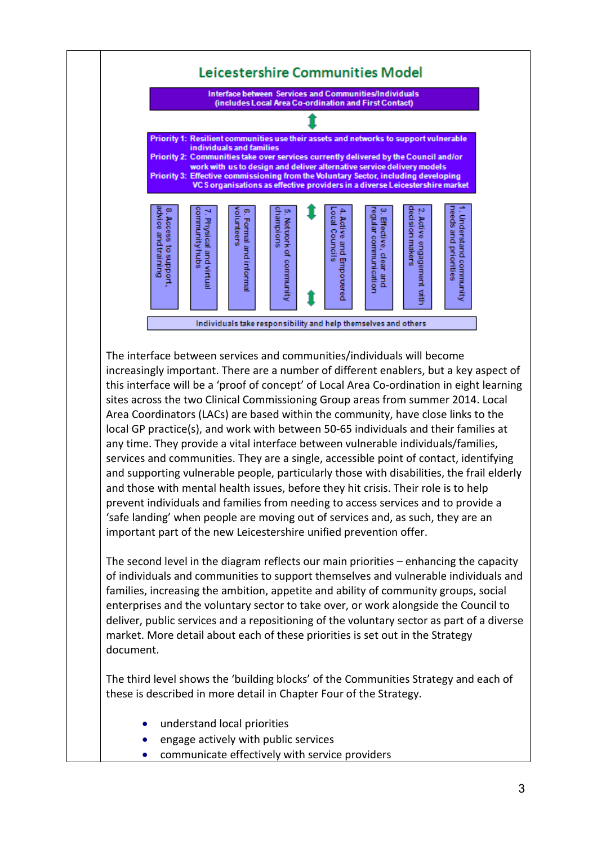

The interface between services and communities/individuals will become increasingly important. There are a number of different enablers, but a key aspect of this interface will be a 'proof of concept' of Local Area Co-ordination in eight learning sites across the two Clinical Commissioning Group areas from summer 2014. Local Area Coordinators (LACs) are based within the community, have close links to the local GP practice(s), and work with between 50-65 individuals and their families at any time. They provide a vital interface between vulnerable individuals/families, services and communities. They are a single, accessible point of contact, identifying and supporting vulnerable people, particularly those with disabilities, the frail elderly and those with mental health issues, before they hit crisis. Their role is to help prevent individuals and families from needing to access services and to provide a 'safe landing' when people are moving out of services and, as such, they are an important part of the new Leicestershire unified prevention offer.

The second level in the diagram reflects our main priorities – enhancing the capacity of individuals and communities to support themselves and vulnerable individuals and families, increasing the ambition, appetite and ability of community groups, social enterprises and the voluntary sector to take over, or work alongside the Council to deliver, public services and a repositioning of the voluntary sector as part of a diverse market. More detail about each of these priorities is set out in the Strategy document.

The third level shows the 'building blocks' of the Communities Strategy and each of these is described in more detail in Chapter Four of the Strategy.

- understand local priorities
- engage actively with public services
- communicate effectively with service providers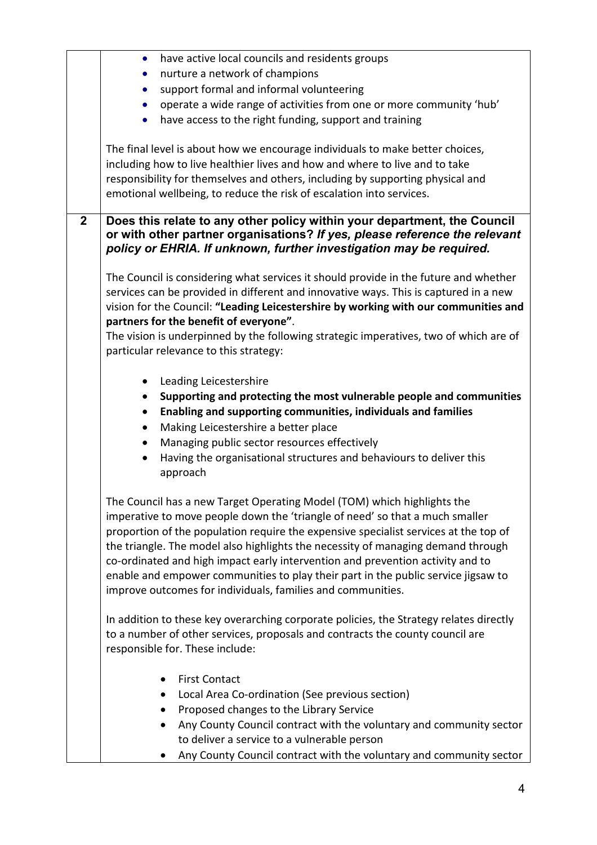|              | have active local councils and residents groups<br>$\bullet$                                                                                                                                                                                                                                                                                                                                                                                                                                                                                                              |  |  |  |  |  |  |
|--------------|---------------------------------------------------------------------------------------------------------------------------------------------------------------------------------------------------------------------------------------------------------------------------------------------------------------------------------------------------------------------------------------------------------------------------------------------------------------------------------------------------------------------------------------------------------------------------|--|--|--|--|--|--|
|              | nurture a network of champions                                                                                                                                                                                                                                                                                                                                                                                                                                                                                                                                            |  |  |  |  |  |  |
|              | support formal and informal volunteering<br>$\bullet$                                                                                                                                                                                                                                                                                                                                                                                                                                                                                                                     |  |  |  |  |  |  |
|              | operate a wide range of activities from one or more community 'hub'                                                                                                                                                                                                                                                                                                                                                                                                                                                                                                       |  |  |  |  |  |  |
|              | have access to the right funding, support and training                                                                                                                                                                                                                                                                                                                                                                                                                                                                                                                    |  |  |  |  |  |  |
|              | The final level is about how we encourage individuals to make better choices,<br>including how to live healthier lives and how and where to live and to take<br>responsibility for themselves and others, including by supporting physical and<br>emotional wellbeing, to reduce the risk of escalation into services.                                                                                                                                                                                                                                                    |  |  |  |  |  |  |
| $\mathbf{2}$ | Does this relate to any other policy within your department, the Council<br>or with other partner organisations? If yes, please reference the relevant<br>policy or EHRIA. If unknown, further investigation may be required.                                                                                                                                                                                                                                                                                                                                             |  |  |  |  |  |  |
|              | The Council is considering what services it should provide in the future and whether<br>services can be provided in different and innovative ways. This is captured in a new<br>vision for the Council: "Leading Leicestershire by working with our communities and<br>partners for the benefit of everyone".<br>The vision is underpinned by the following strategic imperatives, two of which are of<br>particular relevance to this strategy:                                                                                                                          |  |  |  |  |  |  |
|              | Leading Leicestershire<br>Supporting and protecting the most vulnerable people and communities<br>Enabling and supporting communities, individuals and families<br>Making Leicestershire a better place<br>٠<br>Managing public sector resources effectively<br>$\bullet$<br>Having the organisational structures and behaviours to deliver this<br>approach                                                                                                                                                                                                              |  |  |  |  |  |  |
|              | The Council has a new Target Operating Model (TOM) which highlights the<br>imperative to move people down the 'triangle of need' so that a much smaller<br>proportion of the population require the expensive specialist services at the top of<br>the triangle. The model also highlights the necessity of managing demand through<br>co-ordinated and high impact early intervention and prevention activity and to<br>enable and empower communities to play their part in the public service jigsaw to<br>improve outcomes for individuals, families and communities. |  |  |  |  |  |  |
|              | In addition to these key overarching corporate policies, the Strategy relates directly<br>to a number of other services, proposals and contracts the county council are<br>responsible for. These include:                                                                                                                                                                                                                                                                                                                                                                |  |  |  |  |  |  |
|              | <b>First Contact</b><br>Local Area Co-ordination (See previous section)<br>Proposed changes to the Library Service<br>Any County Council contract with the voluntary and community sector<br>to deliver a service to a vulnerable person<br>Any County Council contract with the voluntary and community sector                                                                                                                                                                                                                                                           |  |  |  |  |  |  |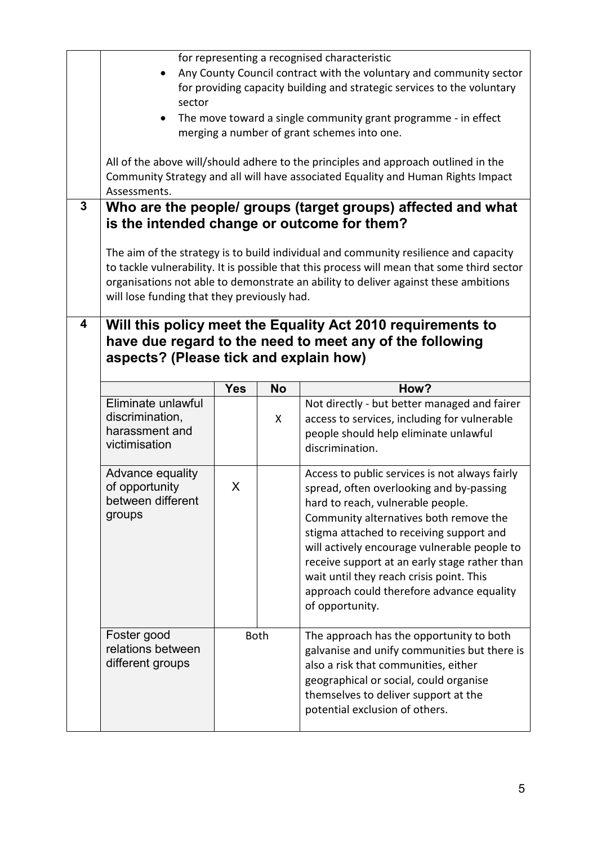|              | for representing a recognised characteristic                                                                                                                                                                                                                                                                             |            |           |                                                                                                                                                                                                                                                                                                                        |  |  |  |  |
|--------------|--------------------------------------------------------------------------------------------------------------------------------------------------------------------------------------------------------------------------------------------------------------------------------------------------------------------------|------------|-----------|------------------------------------------------------------------------------------------------------------------------------------------------------------------------------------------------------------------------------------------------------------------------------------------------------------------------|--|--|--|--|
|              | Any County Council contract with the voluntary and community sector<br>$\bullet$<br>for providing capacity building and strategic services to the voluntary<br>sector                                                                                                                                                    |            |           |                                                                                                                                                                                                                                                                                                                        |  |  |  |  |
|              | The move toward a single community grant programme - in effect<br>merging a number of grant schemes into one.                                                                                                                                                                                                            |            |           |                                                                                                                                                                                                                                                                                                                        |  |  |  |  |
|              | All of the above will/should adhere to the principles and approach outlined in the<br>Community Strategy and all will have associated Equality and Human Rights Impact<br>Assessments.                                                                                                                                   |            |           |                                                                                                                                                                                                                                                                                                                        |  |  |  |  |
| $\mathbf{3}$ | Who are the people/ groups (target groups) affected and what<br>is the intended change or outcome for them?                                                                                                                                                                                                              |            |           |                                                                                                                                                                                                                                                                                                                        |  |  |  |  |
|              | The aim of the strategy is to build individual and community resilience and capacity<br>to tackle vulnerability. It is possible that this process will mean that some third sector<br>organisations not able to demonstrate an ability to deliver against these ambitions<br>will lose funding that they previously had. |            |           |                                                                                                                                                                                                                                                                                                                        |  |  |  |  |
| 4            | Will this policy meet the Equality Act 2010 requirements to<br>have due regard to the need to meet any of the following<br>aspects? (Please tick and explain how)                                                                                                                                                        |            |           |                                                                                                                                                                                                                                                                                                                        |  |  |  |  |
|              |                                                                                                                                                                                                                                                                                                                          | <b>Yes</b> | <b>No</b> | How?                                                                                                                                                                                                                                                                                                                   |  |  |  |  |
|              | Eliminate unlawful<br>discrimination,<br>harassment and<br>victimisation                                                                                                                                                                                                                                                 | X          |           | Not directly - but better managed and fairer<br>access to services, including for vulnerable<br>people should help eliminate unlawful<br>discrimination.                                                                                                                                                               |  |  |  |  |
|              | Advance equality<br>of opportunity<br>between different<br>groups                                                                                                                                                                                                                                                        | X          |           | Access to public services is not always fairly<br>spread, often overlooking and by-passing<br>hard to reach, vulnerable people.<br>Community alternatives both remove the<br>stigma attached to receiving support and<br>will actively encourage vulnerable people to<br>receive support at an early stage rather than |  |  |  |  |
|              |                                                                                                                                                                                                                                                                                                                          |            |           | wait until they reach crisis point. This<br>approach could therefore advance equality<br>of opportunity.                                                                                                                                                                                                               |  |  |  |  |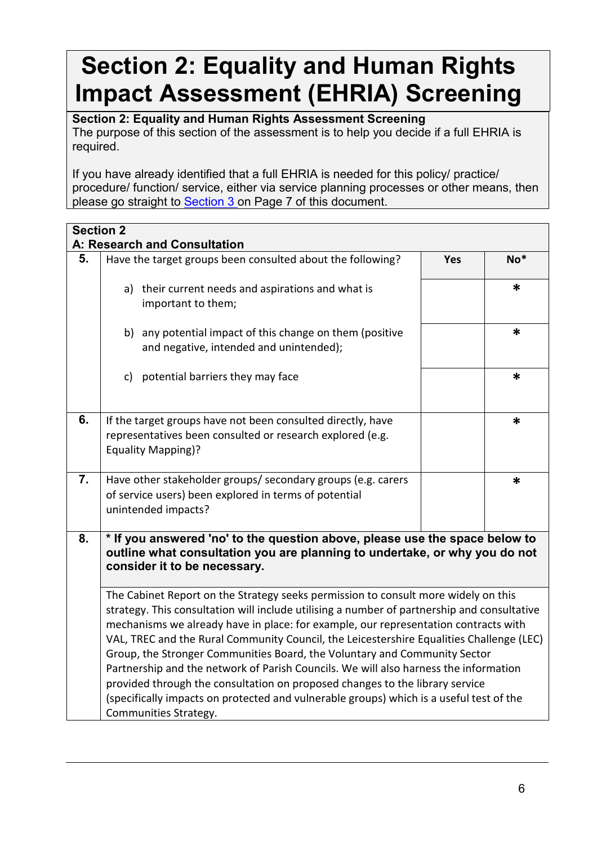## **Section 2: Equality and Human Rights Impact Assessment (EHRIA) Screening**

**Section 2: Equality and Human Rights Assessment Screening** The purpose of this section of the assessment is to help you decide if a full EHRIA is required.

If you have already identified that a full EHRIA is needed for this policy/ practice/ procedure/ function/ service, either via service planning processes or other means, then please go straight to **Section 3** on Page 7 of this document.

| <b>Section 2</b> |                                                                                                                                                                                                                                                                                                                                                                                                                                                                                                                                                                                                                                                                                                                                               |            |       |
|------------------|-----------------------------------------------------------------------------------------------------------------------------------------------------------------------------------------------------------------------------------------------------------------------------------------------------------------------------------------------------------------------------------------------------------------------------------------------------------------------------------------------------------------------------------------------------------------------------------------------------------------------------------------------------------------------------------------------------------------------------------------------|------------|-------|
| 5.               | A: Research and Consultation<br>Have the target groups been consulted about the following?                                                                                                                                                                                                                                                                                                                                                                                                                                                                                                                                                                                                                                                    | <b>Yes</b> | $No*$ |
|                  |                                                                                                                                                                                                                                                                                                                                                                                                                                                                                                                                                                                                                                                                                                                                               |            |       |
|                  | a) their current needs and aspirations and what is<br>important to them;                                                                                                                                                                                                                                                                                                                                                                                                                                                                                                                                                                                                                                                                      |            | *     |
|                  | b) any potential impact of this change on them (positive<br>and negative, intended and unintended);                                                                                                                                                                                                                                                                                                                                                                                                                                                                                                                                                                                                                                           |            | *     |
|                  | c) potential barriers they may face                                                                                                                                                                                                                                                                                                                                                                                                                                                                                                                                                                                                                                                                                                           |            | *     |
| 6.               | If the target groups have not been consulted directly, have<br>representatives been consulted or research explored (e.g.<br><b>Equality Mapping)?</b>                                                                                                                                                                                                                                                                                                                                                                                                                                                                                                                                                                                         |            | *     |
| 7.               | Have other stakeholder groups/ secondary groups (e.g. carers<br>of service users) been explored in terms of potential<br>unintended impacts?                                                                                                                                                                                                                                                                                                                                                                                                                                                                                                                                                                                                  |            | *     |
| 8.               | * If you answered 'no' to the question above, please use the space below to<br>outline what consultation you are planning to undertake, or why you do not<br>consider it to be necessary.                                                                                                                                                                                                                                                                                                                                                                                                                                                                                                                                                     |            |       |
|                  | The Cabinet Report on the Strategy seeks permission to consult more widely on this<br>strategy. This consultation will include utilising a number of partnership and consultative<br>mechanisms we already have in place: for example, our representation contracts with<br>VAL, TREC and the Rural Community Council, the Leicestershire Equalities Challenge (LEC)<br>Group, the Stronger Communities Board, the Voluntary and Community Sector<br>Partnership and the network of Parish Councils. We will also harness the information<br>provided through the consultation on proposed changes to the library service<br>(specifically impacts on protected and vulnerable groups) which is a useful test of the<br>Communities Strategy. |            |       |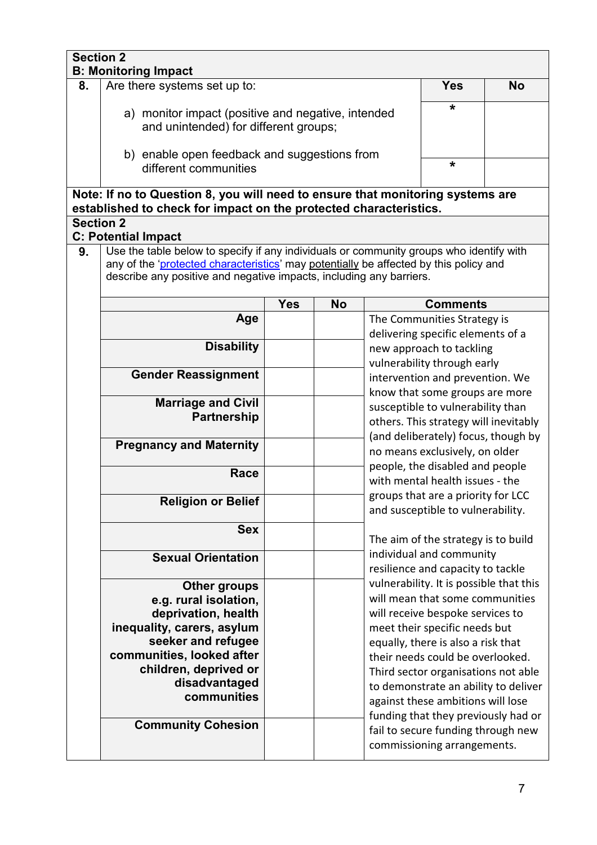| <b>Section 2</b>                               | <b>B: Monitoring Impact</b>                                                                                                                                                                                                                             |                                                                                                |           |                                                                                                                                                     |                                                                                                            |  |  |  |
|------------------------------------------------|---------------------------------------------------------------------------------------------------------------------------------------------------------------------------------------------------------------------------------------------------------|------------------------------------------------------------------------------------------------|-----------|-----------------------------------------------------------------------------------------------------------------------------------------------------|------------------------------------------------------------------------------------------------------------|--|--|--|
| 8.                                             | Are there systems set up to:                                                                                                                                                                                                                            | <b>Yes</b>                                                                                     | <b>No</b> |                                                                                                                                                     |                                                                                                            |  |  |  |
|                                                | a) monitor impact (positive and negative, intended<br>and unintended) for different groups;                                                                                                                                                             | *                                                                                              |           |                                                                                                                                                     |                                                                                                            |  |  |  |
|                                                | b) enable open feedback and suggestions from<br>different communities                                                                                                                                                                                   | *                                                                                              |           |                                                                                                                                                     |                                                                                                            |  |  |  |
|                                                | Note: If no to Question 8, you will need to ensure that monitoring systems are<br>established to check for impact on the protected characteristics.                                                                                                     |                                                                                                |           |                                                                                                                                                     |                                                                                                            |  |  |  |
| <b>Section 2</b><br><b>C: Potential Impact</b> |                                                                                                                                                                                                                                                         |                                                                                                |           |                                                                                                                                                     |                                                                                                            |  |  |  |
| 9.                                             | Use the table below to specify if any individuals or community groups who identify with<br>any of the 'protected characteristics' may potentially be affected by this policy and<br>describe any positive and negative impacts, including any barriers. |                                                                                                |           |                                                                                                                                                     |                                                                                                            |  |  |  |
|                                                |                                                                                                                                                                                                                                                         | <b>Yes</b>                                                                                     | <b>No</b> |                                                                                                                                                     | <b>Comments</b>                                                                                            |  |  |  |
|                                                | Age                                                                                                                                                                                                                                                     |                                                                                                |           |                                                                                                                                                     | The Communities Strategy is<br>delivering specific elements of a                                           |  |  |  |
|                                                | <b>Disability</b>                                                                                                                                                                                                                                       |                                                                                                |           |                                                                                                                                                     | new approach to tackling                                                                                   |  |  |  |
|                                                |                                                                                                                                                                                                                                                         |                                                                                                |           |                                                                                                                                                     | vulnerability through early                                                                                |  |  |  |
|                                                | <b>Gender Reassignment</b>                                                                                                                                                                                                                              |                                                                                                |           |                                                                                                                                                     | intervention and prevention. We                                                                            |  |  |  |
|                                                | <b>Marriage and Civil</b>                                                                                                                                                                                                                               |                                                                                                |           |                                                                                                                                                     | know that some groups are more                                                                             |  |  |  |
|                                                | <b>Partnership</b>                                                                                                                                                                                                                                      |                                                                                                |           | susceptible to vulnerability than<br>others. This strategy will inevitably<br>(and deliberately) focus, though by<br>no means exclusively, on older |                                                                                                            |  |  |  |
|                                                |                                                                                                                                                                                                                                                         |                                                                                                |           |                                                                                                                                                     |                                                                                                            |  |  |  |
|                                                | <b>Pregnancy and Maternity</b>                                                                                                                                                                                                                          |                                                                                                |           |                                                                                                                                                     |                                                                                                            |  |  |  |
|                                                |                                                                                                                                                                                                                                                         |                                                                                                |           | people, the disabled and people                                                                                                                     |                                                                                                            |  |  |  |
|                                                | Race                                                                                                                                                                                                                                                    |                                                                                                |           |                                                                                                                                                     | with mental health issues - the<br>groups that are a priority for LCC<br>and susceptible to vulnerability. |  |  |  |
|                                                | <b>Religion or Belief</b>                                                                                                                                                                                                                               |                                                                                                |           |                                                                                                                                                     |                                                                                                            |  |  |  |
|                                                | <b>Sex</b>                                                                                                                                                                                                                                              |                                                                                                |           | The aim of the strategy is to build                                                                                                                 |                                                                                                            |  |  |  |
|                                                | <b>Sexual Orientation</b>                                                                                                                                                                                                                               |                                                                                                |           |                                                                                                                                                     | individual and community                                                                                   |  |  |  |
|                                                | <b>Other groups</b>                                                                                                                                                                                                                                     |                                                                                                |           | resilience and capacity to tackle<br>vulnerability. It is possible that this                                                                        |                                                                                                            |  |  |  |
|                                                | e.g. rural isolation,                                                                                                                                                                                                                                   |                                                                                                |           |                                                                                                                                                     | will mean that some communities                                                                            |  |  |  |
|                                                | deprivation, health                                                                                                                                                                                                                                     |                                                                                                |           |                                                                                                                                                     | will receive bespoke services to                                                                           |  |  |  |
|                                                | inequality, carers, asylum                                                                                                                                                                                                                              |                                                                                                |           |                                                                                                                                                     | meet their specific needs but                                                                              |  |  |  |
|                                                | seeker and refugee<br>communities, looked after                                                                                                                                                                                                         |                                                                                                |           |                                                                                                                                                     | equally, there is also a risk that                                                                         |  |  |  |
|                                                | children, deprived or                                                                                                                                                                                                                                   |                                                                                                |           |                                                                                                                                                     | their needs could be overlooked.<br>Third sector organisations not able                                    |  |  |  |
|                                                | disadvantaged                                                                                                                                                                                                                                           |                                                                                                |           |                                                                                                                                                     | to demonstrate an ability to deliver                                                                       |  |  |  |
|                                                | communities                                                                                                                                                                                                                                             |                                                                                                |           |                                                                                                                                                     | against these ambitions will lose                                                                          |  |  |  |
|                                                | funding that they previously had or                                                                                                                                                                                                                     |                                                                                                |           |                                                                                                                                                     |                                                                                                            |  |  |  |
|                                                |                                                                                                                                                                                                                                                         | <b>Community Cohesion</b><br>fail to secure funding through new<br>commissioning arrangements. |           |                                                                                                                                                     |                                                                                                            |  |  |  |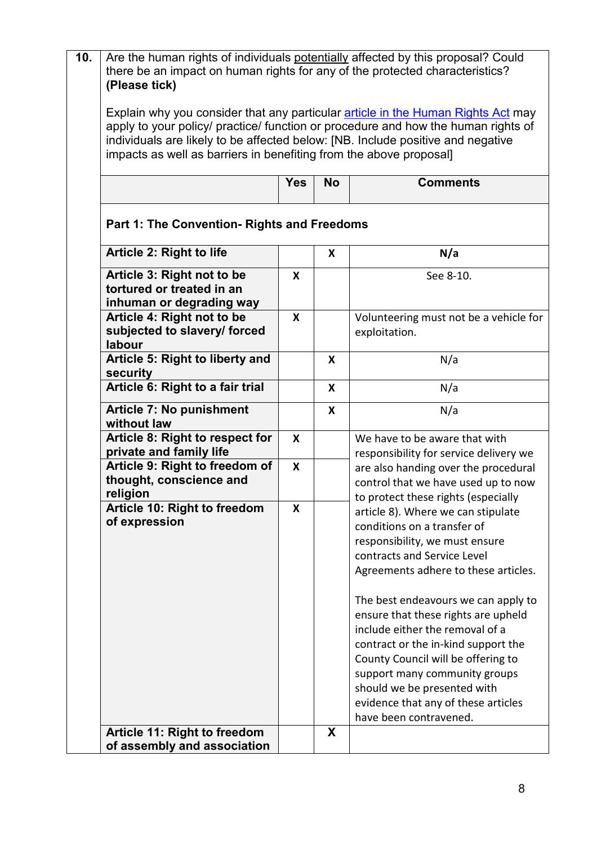| 10. | Are the human rights of individuals potentially affected by this proposal? Could<br>there be an impact on human rights for any of the protected characteristics?<br>(Please tick)                                                                                                                                                                                            |              |   |                                                                                                                                                                                                                                                                                                                                                                                                                                                                                                           |  |  |  |  |
|-----|------------------------------------------------------------------------------------------------------------------------------------------------------------------------------------------------------------------------------------------------------------------------------------------------------------------------------------------------------------------------------|--------------|---|-----------------------------------------------------------------------------------------------------------------------------------------------------------------------------------------------------------------------------------------------------------------------------------------------------------------------------------------------------------------------------------------------------------------------------------------------------------------------------------------------------------|--|--|--|--|
|     | Explain why you consider that any particular article in the Human Rights Act may<br>apply to your policy/ practice/ function or procedure and how the human rights of<br>individuals are likely to be affected below: [NB. Include positive and negative<br>impacts as well as barriers in benefiting from the above proposal]<br><b>Yes</b><br><b>No</b><br><b>Comments</b> |              |   |                                                                                                                                                                                                                                                                                                                                                                                                                                                                                                           |  |  |  |  |
|     |                                                                                                                                                                                                                                                                                                                                                                              |              |   |                                                                                                                                                                                                                                                                                                                                                                                                                                                                                                           |  |  |  |  |
|     | <b>Part 1: The Convention- Rights and Freedoms</b>                                                                                                                                                                                                                                                                                                                           |              |   |                                                                                                                                                                                                                                                                                                                                                                                                                                                                                                           |  |  |  |  |
|     | Article 2: Right to life<br>N/a<br>X                                                                                                                                                                                                                                                                                                                                         |              |   |                                                                                                                                                                                                                                                                                                                                                                                                                                                                                                           |  |  |  |  |
|     | Article 3: Right not to be<br>tortured or treated in an<br>inhuman or degrading way                                                                                                                                                                                                                                                                                          | $\mathsf{X}$ |   | See 8-10.                                                                                                                                                                                                                                                                                                                                                                                                                                                                                                 |  |  |  |  |
|     | Article 4: Right not to be<br>subjected to slavery/ forced<br>labour                                                                                                                                                                                                                                                                                                         | $\mathbf{x}$ |   | Volunteering must not be a vehicle for<br>exploitation.                                                                                                                                                                                                                                                                                                                                                                                                                                                   |  |  |  |  |
|     | Article 5: Right to liberty and<br>security                                                                                                                                                                                                                                                                                                                                  |              | X | N/a                                                                                                                                                                                                                                                                                                                                                                                                                                                                                                       |  |  |  |  |
|     | Article 6: Right to a fair trial                                                                                                                                                                                                                                                                                                                                             |              | X | N/a                                                                                                                                                                                                                                                                                                                                                                                                                                                                                                       |  |  |  |  |
|     | <b>Article 7: No punishment</b><br>without law                                                                                                                                                                                                                                                                                                                               |              | X | N/a                                                                                                                                                                                                                                                                                                                                                                                                                                                                                                       |  |  |  |  |
|     | Article 8: Right to respect for<br>private and family life                                                                                                                                                                                                                                                                                                                   | X            |   | We have to be aware that with<br>responsibility for service delivery we                                                                                                                                                                                                                                                                                                                                                                                                                                   |  |  |  |  |
|     | Article 9: Right to freedom of<br>thought, conscience and<br>religion                                                                                                                                                                                                                                                                                                        | X            |   | are also handing over the procedural<br>control that we have used up to now<br>to protect these rights (especially                                                                                                                                                                                                                                                                                                                                                                                        |  |  |  |  |
|     | Article 10: Right to freedom<br>of expression<br>Article 11: Right to freedom                                                                                                                                                                                                                                                                                                | X            | X | article 8). Where we can stipulate<br>conditions on a transfer of<br>responsibility, we must ensure<br>contracts and Service Level<br>Agreements adhere to these articles.<br>The best endeavours we can apply to<br>ensure that these rights are upheld<br>include either the removal of a<br>contract or the in-kind support the<br>County Council will be offering to<br>support many community groups<br>should we be presented with<br>evidence that any of these articles<br>have been contravened. |  |  |  |  |
|     | of assembly and association                                                                                                                                                                                                                                                                                                                                                  |              |   |                                                                                                                                                                                                                                                                                                                                                                                                                                                                                                           |  |  |  |  |